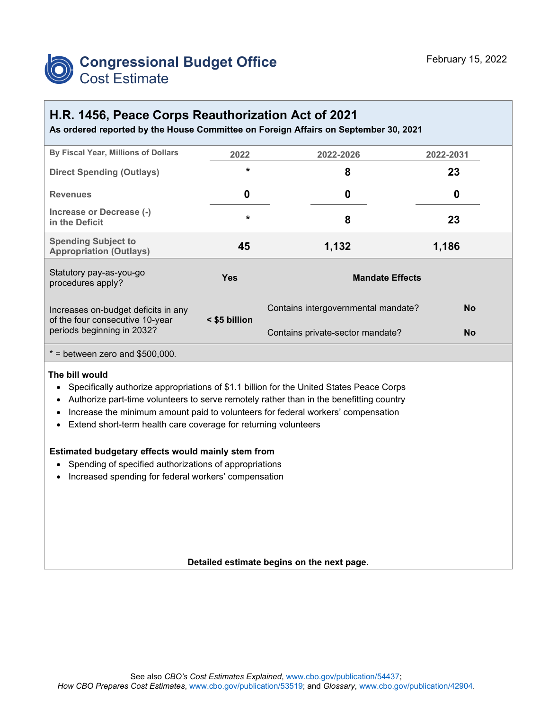

#### **H.R. 1456, Peace Corps Reauthorization Act of 2021**

**As ordered reported by the House Committee on Foreign Affairs on September 30, 2021**

| By Fiscal Year, Millions of Dollars                           | 2022          | 2022-2026                           | 2022-2031 |  |  |  |
|---------------------------------------------------------------|---------------|-------------------------------------|-----------|--|--|--|
| <b>Direct Spending (Outlays)</b>                              | $\star$       | 8                                   | 23        |  |  |  |
| <b>Revenues</b>                                               | 0             | 0                                   | 0         |  |  |  |
| Increase or Decrease (-)<br>in the Deficit                    | $\star$       | 8                                   | 23        |  |  |  |
| <b>Spending Subject to</b><br><b>Appropriation (Outlays)</b>  | 45            | 1,132                               | 1,186     |  |  |  |
| Statutory pay-as-you-go<br>procedures apply?                  | Yes           | <b>Mandate Effects</b>              |           |  |  |  |
| Increases on-budget deficits in any                           |               | Contains intergovernmental mandate? | <b>No</b> |  |  |  |
| of the four consecutive 10-year<br>periods beginning in 2032? | < \$5 billion | Contains private-sector mandate?    | <b>No</b> |  |  |  |
| $*$ = between zero and \$500,000.                             |               |                                     |           |  |  |  |
|                                                               |               |                                     |           |  |  |  |

#### **The bill would**

- Specifically authorize appropriations of \$1.1 billion for the United States Peace Corps
- Authorize part-time volunteers to serve remotely rather than in the benefitting country
- Increase the minimum amount paid to volunteers for federal workers' compensation
- Extend short-term health care coverage for returning volunteers

#### **Estimated budgetary effects would mainly stem from**

- Spending of specified authorizations of appropriations
- Increased spending for federal workers' compensation

#### **Detailed estimate begins on the next page.**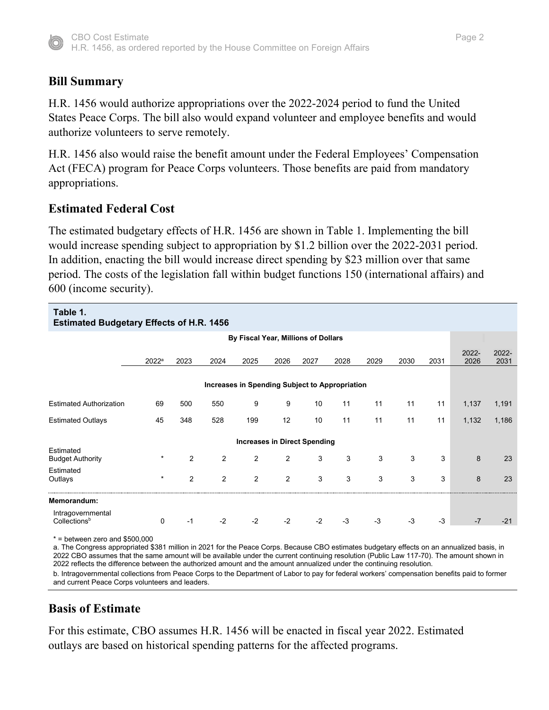

# **Bill Summary**

H.R. 1456 would authorize appropriations over the 2022-2024 period to fund the United States Peace Corps. The bill also would expand volunteer and employee benefits and would authorize volunteers to serve remotely.

H.R. 1456 also would raise the benefit amount under the Federal Employees' Compensation Act (FECA) program for Peace Corps volunteers. Those benefits are paid from mandatory appropriations.

# **Estimated Federal Cost**

The estimated budgetary effects of H.R. 1456 are shown in Table 1. Implementing the bill would increase spending subject to appropriation by \$1.2 billion over the 2022-2031 period. In addition, enacting the bill would increase direct spending by \$23 million over that same period. The costs of the legislation fall within budget functions 150 (international affairs) and 600 (income security).

| Table 1.<br><b>Estimated Budgetary Effects of H.R. 1456</b> |                                     |               |                |      |                |      |      |      |      |      |               |               |
|-------------------------------------------------------------|-------------------------------------|---------------|----------------|------|----------------|------|------|------|------|------|---------------|---------------|
|                                                             | By Fiscal Year, Millions of Dollars |               |                |      |                |      |      |      |      |      |               |               |
|                                                             | $2022^a$                            | 2023          | 2024           | 2025 | 2026           | 2027 | 2028 | 2029 | 2030 | 2031 | 2022-<br>2026 | 2022-<br>2031 |
| Increases in Spending Subject to Appropriation              |                                     |               |                |      |                |      |      |      |      |      |               |               |
| <b>Estimated Authorization</b>                              | 69                                  | 500           | 550            | 9    | 9              | 10   | 11   | 11   | 11   | 11   | 1,137         | 1,191         |
| <b>Estimated Outlays</b>                                    | 45                                  | 348           | 528            | 199  | 12             | 10   | 11   | 11   | 11   | 11   | 1,132         | 1,186         |
| <b>Increases in Direct Spending</b>                         |                                     |               |                |      |                |      |      |      |      |      |               |               |
| Estimated<br><b>Budget Authority</b>                        | $\star$                             | $\mathcal{P}$ | 2              | 2    | $\overline{2}$ | 3    | 3    | 3    | 3    | 3    | 8             | 23            |
| Estimated<br>Outlays                                        | $\star$                             | 2             | $\overline{2}$ | 2    | $\overline{2}$ | 3    | 3    | 3    | 3    | 3    | 8             | 23            |
| Memorandum:                                                 |                                     |               |                |      |                |      |      |      |      |      |               |               |
| Intragovernmental<br>Collections <sup>b</sup>               | 0                                   | -1            | $-2$           | $-2$ | $-2$           | $-2$ | $-3$ | $-3$ | $-3$ | -3   | $-7$          | $-21$         |

\* = between zero and \$500,000

a. The Congress appropriated \$381 million in 2021 for the Peace Corps. Because CBO estimates budgetary effects on an annualized basis, in 2022 CBO assumes that the same amount will be available under the current continuing resolution (Public Law 117-70). The amount shown in 2022 reflects the difference between the authorized amount and the amount annualized under the continuing resolution. b. Intragovernmental collections from Peace Corps to the Department of Labor to pay for federal workers' compensation benefits paid to former and current Peace Corps volunteers and leaders.

# **Basis of Estimate**

For this estimate, CBO assumes H.R. 1456 will be enacted in fiscal year 2022. Estimated outlays are based on historical spending patterns for the affected programs.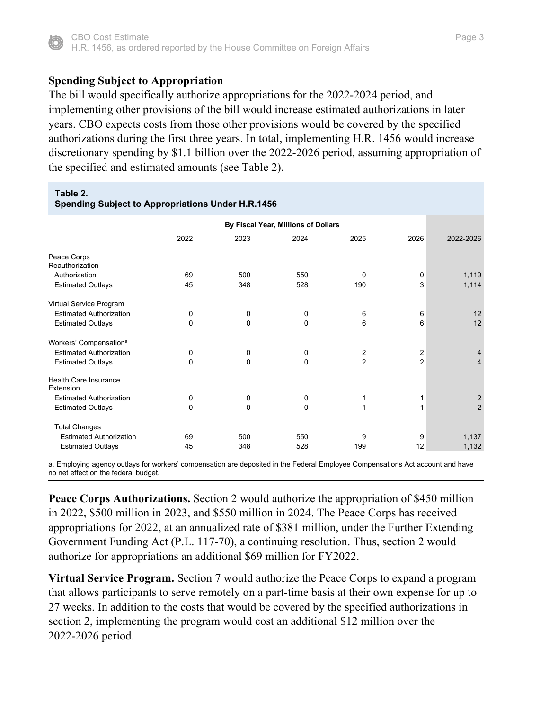

## **Spending Subject to Appropriation**

The bill would specifically authorize appropriations for the 2022-2024 period, and implementing other provisions of the bill would increase estimated authorizations in later years. CBO expects costs from those other provisions would be covered by the specified authorizations during the first three years. In total, implementing H.R. 1456 would increase discretionary spending by \$1.1 billion over the 2022-2026 period, assuming appropriation of the specified and estimated amounts (see Table 2).

| Table 2.<br><b>Spending Subject to Appropriations Under H.R.1456</b> |                                     |             |          |                |                |                |  |  |  |  |
|----------------------------------------------------------------------|-------------------------------------|-------------|----------|----------------|----------------|----------------|--|--|--|--|
|                                                                      | By Fiscal Year, Millions of Dollars |             |          |                |                |                |  |  |  |  |
|                                                                      | 2022                                | 2023        | 2024     | 2025           | 2026           | 2022-2026      |  |  |  |  |
| Peace Corps<br>Reauthorization                                       |                                     |             |          |                |                |                |  |  |  |  |
| Authorization                                                        | 69                                  | 500         | 550      | 0              | 0              | 1,119          |  |  |  |  |
| <b>Estimated Outlays</b>                                             | 45                                  | 348         | 528      | 190            | 3              | 1,114          |  |  |  |  |
| Virtual Service Program                                              |                                     |             |          |                |                |                |  |  |  |  |
| <b>Estimated Authorization</b>                                       | 0                                   | $\mathbf 0$ | 0        | 6              | 6              | 12             |  |  |  |  |
| <b>Estimated Outlays</b>                                             | $\Omega$                            | $\mathbf 0$ | $\Omega$ | 6              | 6              | 12             |  |  |  |  |
| Workers' Compensation <sup>a</sup>                                   |                                     |             |          |                |                |                |  |  |  |  |
| <b>Estimated Authorization</b>                                       | 0                                   | 0           | 0        | 2              | 2              | $\overline{4}$ |  |  |  |  |
| <b>Estimated Outlays</b>                                             | $\mathbf 0$                         | $\mathbf 0$ | 0        | $\overline{c}$ | $\overline{2}$ | $\overline{4}$ |  |  |  |  |
| Health Care Insurance<br>Extension                                   |                                     |             |          |                |                |                |  |  |  |  |
| <b>Estimated Authorization</b>                                       | 0                                   | 0           | 0        | 1              | 1              | $\sqrt{2}$     |  |  |  |  |
| <b>Estimated Outlays</b>                                             | $\mathbf 0$                         | 0           | 0        | 1              | 1              | $\overline{2}$ |  |  |  |  |
| <b>Total Changes</b>                                                 |                                     |             |          |                |                |                |  |  |  |  |
| <b>Estimated Authorization</b>                                       | 69                                  | 500         | 550      | 9              | 9              | 1,137          |  |  |  |  |
| <b>Estimated Outlays</b>                                             | 45                                  | 348         | 528      | 199            | 12             | 1,132          |  |  |  |  |

a. Employing agency outlays for workers' compensation are deposited in the Federal Employee Compensations Act account and have no net effect on the federal budget.

**Peace Corps Authorizations.** Section 2 would authorize the appropriation of \$450 million in 2022, \$500 million in 2023, and \$550 million in 2024. The Peace Corps has received appropriations for 2022, at an annualized rate of \$381 million, under the Further Extending Government Funding Act (P.L. 117-70), a continuing resolution. Thus, section 2 would authorize for appropriations an additional \$69 million for FY2022.

**Virtual Service Program.** Section 7 would authorize the Peace Corps to expand a program that allows participants to serve remotely on a part-time basis at their own expense for up to 27 weeks. In addition to the costs that would be covered by the specified authorizations in section 2, implementing the program would cost an additional \$12 million over the 2022-2026 period.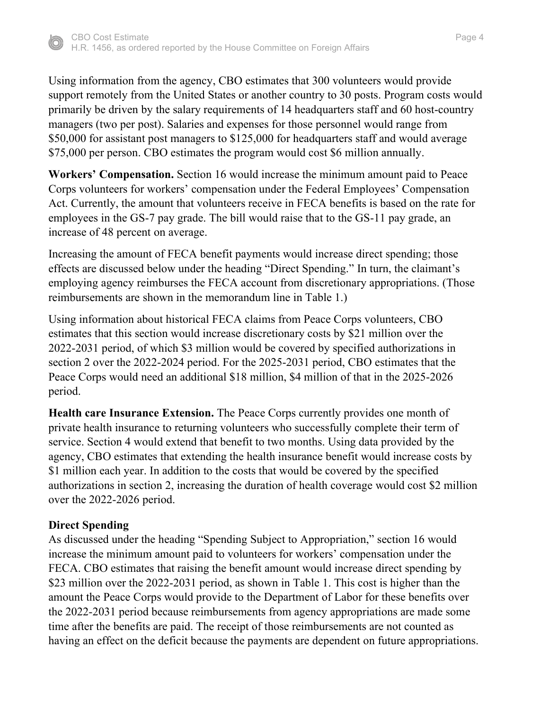

Using information from the agency, CBO estimates that 300 volunteers would provide support remotely from the United States or another country to 30 posts. Program costs would primarily be driven by the salary requirements of 14 headquarters staff and 60 host-country managers (two per post). Salaries and expenses for those personnel would range from \$50,000 for assistant post managers to \$125,000 for headquarters staff and would average \$75,000 per person. CBO estimates the program would cost \$6 million annually.

**Workers' Compensation.** Section 16 would increase the minimum amount paid to Peace Corps volunteers for workers' compensation under the Federal Employees' Compensation Act. Currently, the amount that volunteers receive in FECA benefits is based on the rate for employees in the GS-7 pay grade. The bill would raise that to the GS-11 pay grade, an increase of 48 percent on average.

Increasing the amount of FECA benefit payments would increase direct spending; those effects are discussed below under the heading "Direct Spending." In turn, the claimant's employing agency reimburses the FECA account from discretionary appropriations. (Those reimbursements are shown in the memorandum line in Table 1.)

Using information about historical FECA claims from Peace Corps volunteers, CBO estimates that this section would increase discretionary costs by \$21 million over the 2022-2031 period, of which \$3 million would be covered by specified authorizations in section 2 over the 2022-2024 period. For the 2025-2031 period, CBO estimates that the Peace Corps would need an additional \$18 million, \$4 million of that in the 2025-2026 period.

**Health care Insurance Extension.** The Peace Corps currently provides one month of private health insurance to returning volunteers who successfully complete their term of service. Section 4 would extend that benefit to two months. Using data provided by the agency, CBO estimates that extending the health insurance benefit would increase costs by \$1 million each year. In addition to the costs that would be covered by the specified authorizations in section 2, increasing the duration of health coverage would cost \$2 million over the 2022-2026 period.

### **Direct Spending**

As discussed under the heading "Spending Subject to Appropriation," section 16 would increase the minimum amount paid to volunteers for workers' compensation under the FECA. CBO estimates that raising the benefit amount would increase direct spending by \$23 million over the 2022-2031 period, as shown in Table 1. This cost is higher than the amount the Peace Corps would provide to the Department of Labor for these benefits over the 2022-2031 period because reimbursements from agency appropriations are made some time after the benefits are paid. The receipt of those reimbursements are not counted as having an effect on the deficit because the payments are dependent on future appropriations.